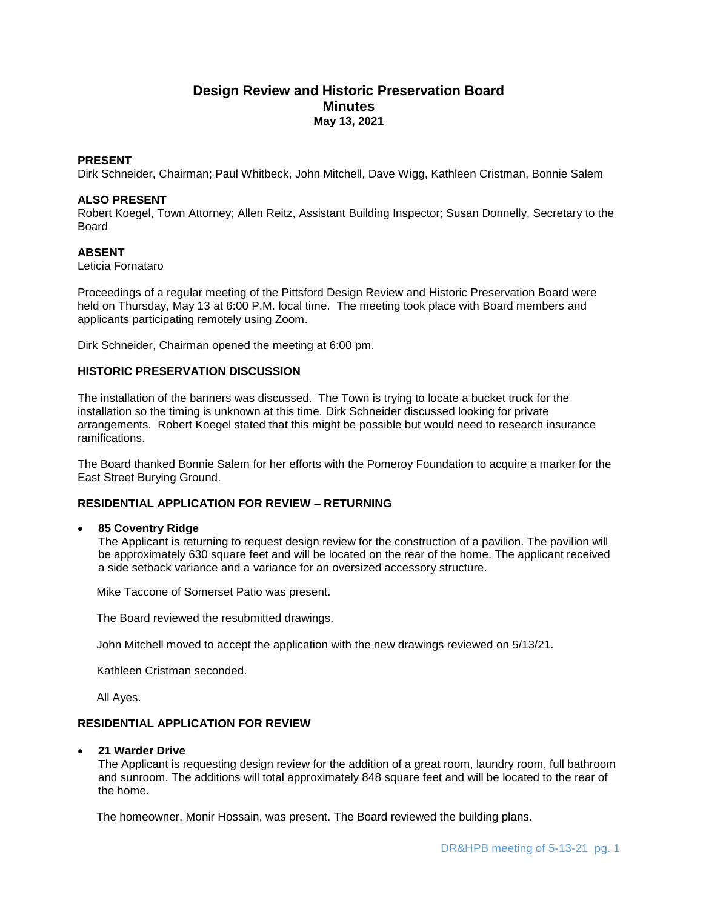# **Design Review and Historic Preservation Board Minutes May 13, 2021**

## **PRESENT**

Dirk Schneider, Chairman; Paul Whitbeck, John Mitchell, Dave Wigg, Kathleen Cristman, Bonnie Salem

## **ALSO PRESENT**

Robert Koegel, Town Attorney; Allen Reitz, Assistant Building Inspector; Susan Donnelly, Secretary to the Board

## **ABSENT**

Leticia Fornataro

Proceedings of a regular meeting of the Pittsford Design Review and Historic Preservation Board were held on Thursday, May 13 at 6:00 P.M. local time. The meeting took place with Board members and applicants participating remotely using Zoom.

Dirk Schneider, Chairman opened the meeting at 6:00 pm.

## **HISTORIC PRESERVATION DISCUSSION**

The installation of the banners was discussed. The Town is trying to locate a bucket truck for the installation so the timing is unknown at this time. Dirk Schneider discussed looking for private arrangements. Robert Koegel stated that this might be possible but would need to research insurance ramifications.

The Board thanked Bonnie Salem for her efforts with the Pomeroy Foundation to acquire a marker for the East Street Burying Ground.

## **RESIDENTIAL APPLICATION FOR REVIEW – RETURNING**

## **85 Coventry Ridge**

The Applicant is returning to request design review for the construction of a pavilion. The pavilion will be approximately 630 square feet and will be located on the rear of the home. The applicant received a side setback variance and a variance for an oversized accessory structure.

Mike Taccone of Somerset Patio was present.

The Board reviewed the resubmitted drawings.

John Mitchell moved to accept the application with the new drawings reviewed on 5/13/21.

Kathleen Cristman seconded.

All Ayes.

## **RESIDENTIAL APPLICATION FOR REVIEW**

## **21 Warder Drive**

The Applicant is requesting design review for the addition of a great room, laundry room, full bathroom and sunroom. The additions will total approximately 848 square feet and will be located to the rear of the home.

The homeowner, Monir Hossain, was present. The Board reviewed the building plans.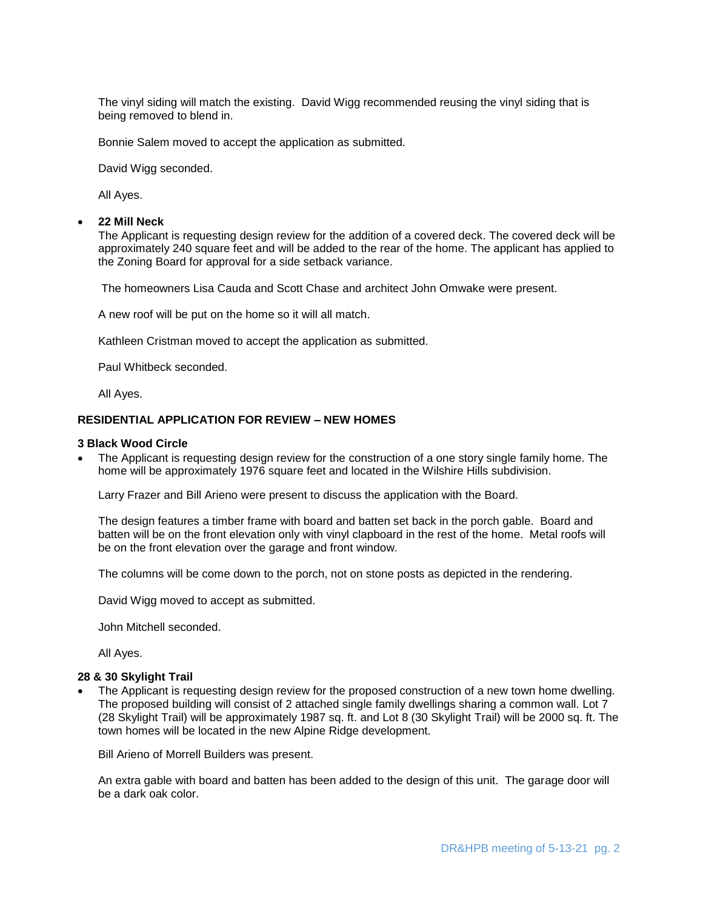The vinyl siding will match the existing. David Wigg recommended reusing the vinyl siding that is being removed to blend in.

Bonnie Salem moved to accept the application as submitted.

David Wigg seconded.

All Ayes.

#### **22 Mill Neck**

The Applicant is requesting design review for the addition of a covered deck. The covered deck will be approximately 240 square feet and will be added to the rear of the home. The applicant has applied to the Zoning Board for approval for a side setback variance.

The homeowners Lisa Cauda and Scott Chase and architect John Omwake were present.

A new roof will be put on the home so it will all match.

Kathleen Cristman moved to accept the application as submitted.

Paul Whitbeck seconded.

All Ayes.

## **RESIDENTIAL APPLICATION FOR REVIEW – NEW HOMES**

## **3 Black Wood Circle**

 The Applicant is requesting design review for the construction of a one story single family home. The home will be approximately 1976 square feet and located in the Wilshire Hills subdivision.

Larry Frazer and Bill Arieno were present to discuss the application with the Board.

The design features a timber frame with board and batten set back in the porch gable. Board and batten will be on the front elevation only with vinyl clapboard in the rest of the home. Metal roofs will be on the front elevation over the garage and front window.

The columns will be come down to the porch, not on stone posts as depicted in the rendering.

David Wigg moved to accept as submitted.

John Mitchell seconded.

All Ayes.

#### **28 & 30 Skylight Trail**

 The Applicant is requesting design review for the proposed construction of a new town home dwelling. The proposed building will consist of 2 attached single family dwellings sharing a common wall. Lot 7 (28 Skylight Trail) will be approximately 1987 sq. ft. and Lot 8 (30 Skylight Trail) will be 2000 sq. ft. The town homes will be located in the new Alpine Ridge development.

Bill Arieno of Morrell Builders was present.

An extra gable with board and batten has been added to the design of this unit. The garage door will be a dark oak color.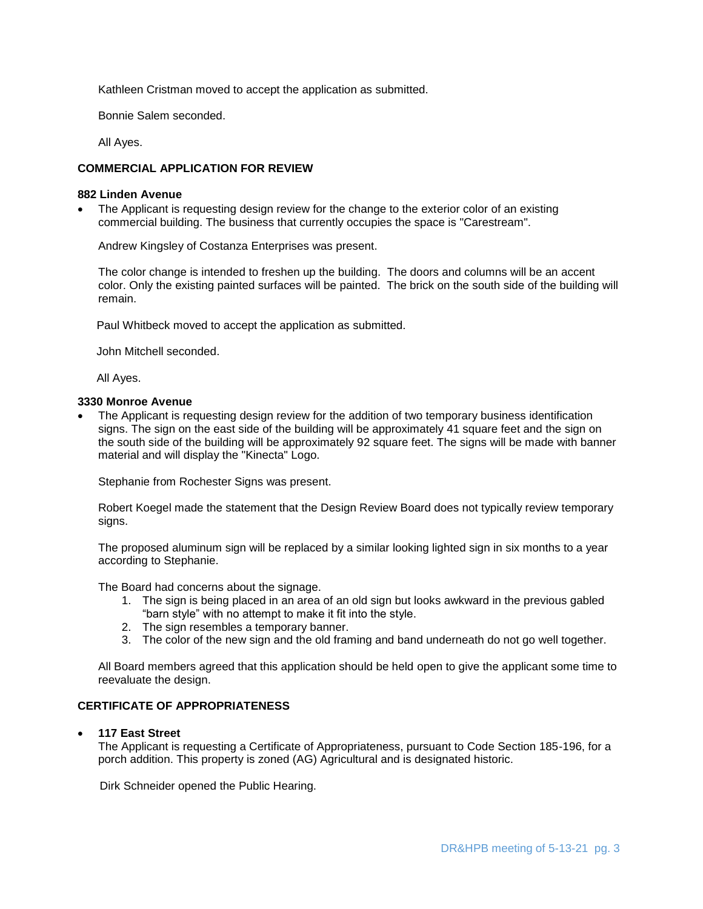Kathleen Cristman moved to accept the application as submitted.

Bonnie Salem seconded.

All Ayes.

## **COMMERCIAL APPLICATION FOR REVIEW**

## **882 Linden Avenue**

 The Applicant is requesting design review for the change to the exterior color of an existing commercial building. The business that currently occupies the space is "Carestream".

Andrew Kingsley of Costanza Enterprises was present.

The color change is intended to freshen up the building. The doors and columns will be an accent color. Only the existing painted surfaces will be painted. The brick on the south side of the building will remain.

Paul Whitbeck moved to accept the application as submitted.

John Mitchell seconded.

All Ayes.

## **3330 Monroe Avenue**

 The Applicant is requesting design review for the addition of two temporary business identification signs. The sign on the east side of the building will be approximately 41 square feet and the sign on the south side of the building will be approximately 92 square feet. The signs will be made with banner material and will display the "Kinecta" Logo.

Stephanie from Rochester Signs was present.

Robert Koegel made the statement that the Design Review Board does not typically review temporary signs.

The proposed aluminum sign will be replaced by a similar looking lighted sign in six months to a year according to Stephanie.

The Board had concerns about the signage.

- 1. The sign is being placed in an area of an old sign but looks awkward in the previous gabled "barn style" with no attempt to make it fit into the style.
- 2. The sign resembles a temporary banner.
- 3. The color of the new sign and the old framing and band underneath do not go well together.

All Board members agreed that this application should be held open to give the applicant some time to reevaluate the design.

## **CERTIFICATE OF APPROPRIATENESS**

**117 East Street**

The Applicant is requesting a Certificate of Appropriateness, pursuant to Code Section 185-196, for a porch addition. This property is zoned (AG) Agricultural and is designated historic.

Dirk Schneider opened the Public Hearing.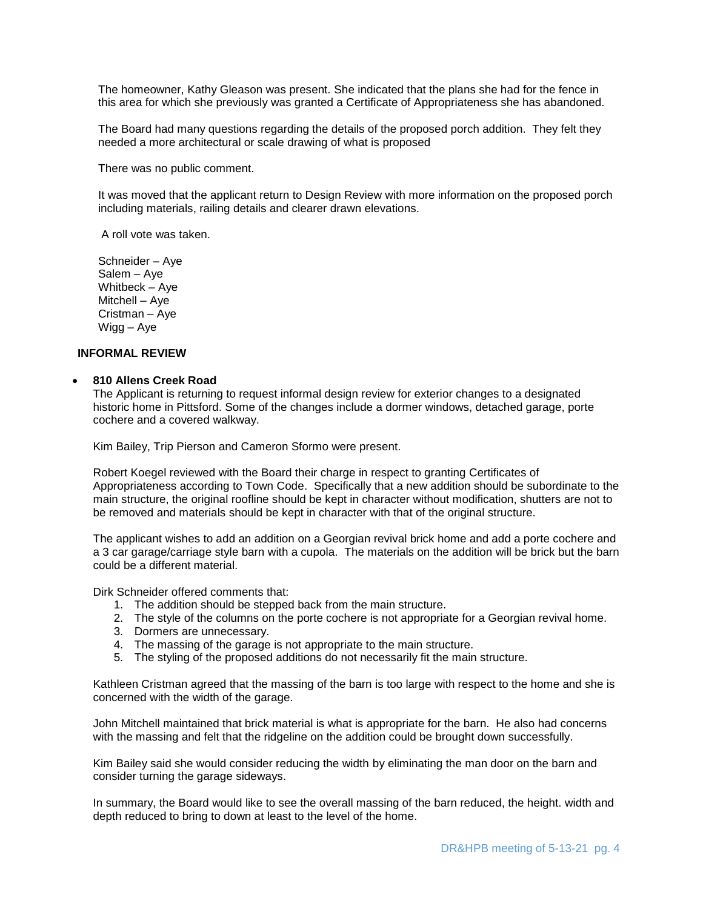The homeowner, Kathy Gleason was present. She indicated that the plans she had for the fence in this area for which she previously was granted a Certificate of Appropriateness she has abandoned.

The Board had many questions regarding the details of the proposed porch addition. They felt they needed a more architectural or scale drawing of what is proposed

There was no public comment.

It was moved that the applicant return to Design Review with more information on the proposed porch including materials, railing details and clearer drawn elevations.

A roll vote was taken.

Schneider – Aye Salem – Aye Whitbeck – Aye Mitchell – Aye Cristman – Aye Wigg – Aye

## **INFORMAL REVIEW**

#### **810 Allens Creek Road**

The Applicant is returning to request informal design review for exterior changes to a designated historic home in Pittsford. Some of the changes include a dormer windows, detached garage, porte cochere and a covered walkway.

Kim Bailey, Trip Pierson and Cameron Sformo were present.

Robert Koegel reviewed with the Board their charge in respect to granting Certificates of Appropriateness according to Town Code. Specifically that a new addition should be subordinate to the main structure, the original roofline should be kept in character without modification, shutters are not to be removed and materials should be kept in character with that of the original structure.

The applicant wishes to add an addition on a Georgian revival brick home and add a porte cochere and a 3 car garage/carriage style barn with a cupola. The materials on the addition will be brick but the barn could be a different material.

Dirk Schneider offered comments that:

- 1. The addition should be stepped back from the main structure.
- 2. The style of the columns on the porte cochere is not appropriate for a Georgian revival home.
- 3. Dormers are unnecessary.
- 4. The massing of the garage is not appropriate to the main structure.
- 5. The styling of the proposed additions do not necessarily fit the main structure.

Kathleen Cristman agreed that the massing of the barn is too large with respect to the home and she is concerned with the width of the garage.

John Mitchell maintained that brick material is what is appropriate for the barn. He also had concerns with the massing and felt that the ridgeline on the addition could be brought down successfully.

Kim Bailey said she would consider reducing the width by eliminating the man door on the barn and consider turning the garage sideways.

In summary, the Board would like to see the overall massing of the barn reduced, the height. width and depth reduced to bring to down at least to the level of the home.